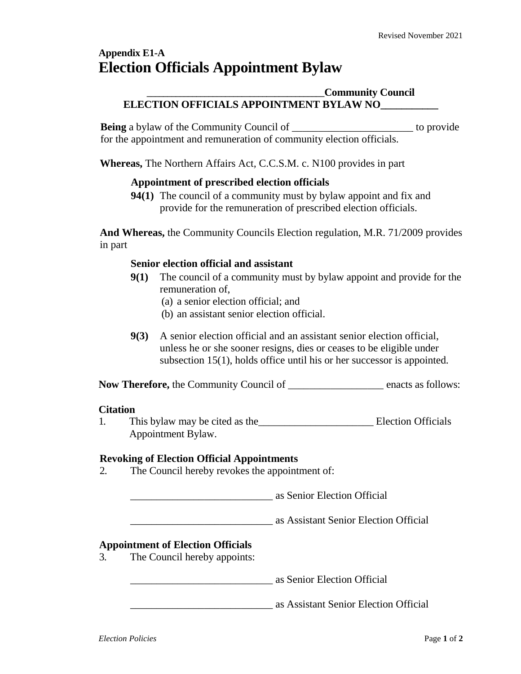# **Appendix E1-A Election Officials Appointment Bylaw**

## **\_\_\_\_\_\_\_\_\_\_\_\_\_\_\_\_\_\_\_\_\_\_\_\_\_\_\_\_\_\_\_\_\_\_\_\_\_\_\_\_\_\_\_Community Council ELECTION OFFICIALS APPOINTMENT BYLAW NO\_\_\_\_\_\_\_\_\_\_\_**

**Being** a bylaw of the Community Council of the contract of the provide for the appointment and remuneration of community election officials.

**Whereas,** The Northern Affairs Act*,* C.C.S.M. c. N100 provides in part

## **Appointment of prescribed election officials**

**94(1)** The council of a community must by bylaw appoint and fix and provide for the remuneration of prescribed election officials.

**And Whereas,** the Community Councils Election regulation, M.R. 71/2009 provides in part

## **Senior election official and assistant**

- **9(1)** The council of a community must by bylaw appoint and provide for the remuneration of,
	- (a) a senior election official; and
	- (b) an assistant senior election official.
- **9(3)** A senior election official and an assistant senior election official, unless he or she sooner resigns, dies or ceases to be eligible under subsection 15(1), holds office until his or her successor is appointed.

**Now Therefore,** the Community Council of  $\qquad$  enacts as follows:

#### **Citation**

1. This bylaw may be cited as the Election Officials Appointment Bylaw.

#### **Revoking of Election Official Appointments**

2. The Council hereby revokes the appointment of:

\_\_\_\_\_\_\_\_\_\_\_\_\_\_\_\_\_\_\_\_\_\_\_\_\_\_\_ as Senior Election Official

\_\_\_\_\_\_\_\_\_\_\_\_\_\_\_\_\_\_\_\_\_\_\_\_\_\_\_ as Assistant Senior Election Official

## **Appointment of Election Officials**

3. The Council hereby appoints:

\_\_\_\_\_\_\_\_\_\_\_\_\_\_\_\_\_\_\_\_\_\_\_\_\_\_\_ as Senior Election Official

\_\_\_\_\_\_\_\_\_\_\_\_\_\_\_\_\_\_\_\_\_\_\_\_\_\_\_ as Assistant Senior Election Official